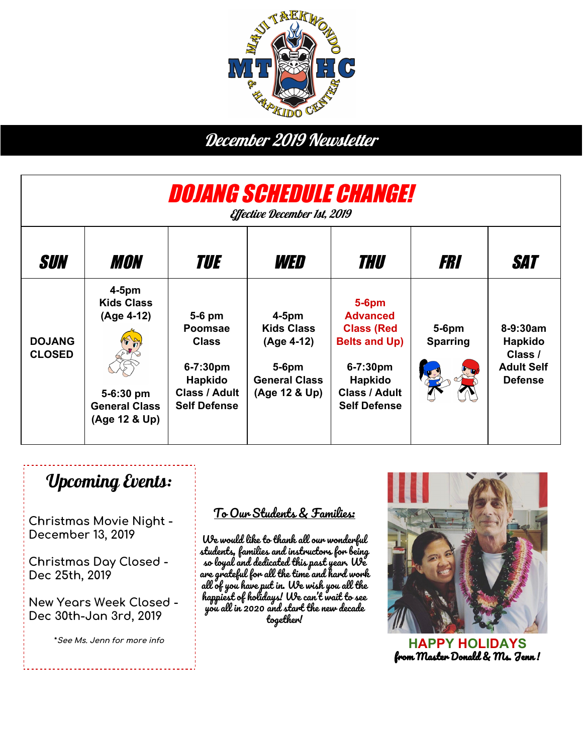

## December 2019 Newsletter

| <i>Dojang schedule Change!</i><br><i><b>Effective December 1st, 2019</b></i> |                                                                                                   |                                                                                                                |                                                                                                  |                                                                                                                                                |                             |                                                                       |
|------------------------------------------------------------------------------|---------------------------------------------------------------------------------------------------|----------------------------------------------------------------------------------------------------------------|--------------------------------------------------------------------------------------------------|------------------------------------------------------------------------------------------------------------------------------------------------|-----------------------------|-----------------------------------------------------------------------|
| <b>SUN</b>                                                                   | <i><b>MON</b></i>                                                                                 | TUE                                                                                                            | WED                                                                                              | THU                                                                                                                                            | FRI                         | SAT                                                                   |
| <b>DOJANG</b><br><b>CLOSED</b>                                               | $4-5$ pm<br><b>Kids Class</b><br>(Age 4-12)<br>5-6:30 pm<br><b>General Class</b><br>(Age 12 & Up) | 5-6 pm<br><b>Poomsae</b><br><b>Class</b><br>6-7:30pm<br>Hapkido<br><b>Class / Adult</b><br><b>Self Defense</b> | $4-5$ pm<br><b>Kids Class</b><br>(Age 4-12)<br>$5-6$ pm<br><b>General Class</b><br>(Age 12 & Up) | $5-6$ pm<br><b>Advanced</b><br><b>Class (Red</b><br><b>Belts and Up)</b><br>6-7:30pm<br>Hapkido<br><b>Class / Adult</b><br><b>Self Defense</b> | $5-6$ pm<br><b>Sparring</b> | 8-9:30am<br>Hapkido<br>Class /<br><b>Adult Self</b><br><b>Defense</b> |

## Upcoming Events:

**Christmas Movie Night - December 13, 2019**

**Christmas Day Closed - Dec 25th, 2019**

**New Years Week Closed - Dec 30th-Jan 3rd, 2019**

**\*See Ms. Jenn for more info**

#### To Our Students & Families:

We would like to thank all our wonderful students, families and instructors for being so loyal and dedicated this past year. We are grateful for all the time and hard work all of you have put in. We wish you all the happiest of holidays! We can't wait to see you all in 2020 and start the new decade together!



**HAPPY HOLIDAYS** from Master Donald & Ms. Jenn !